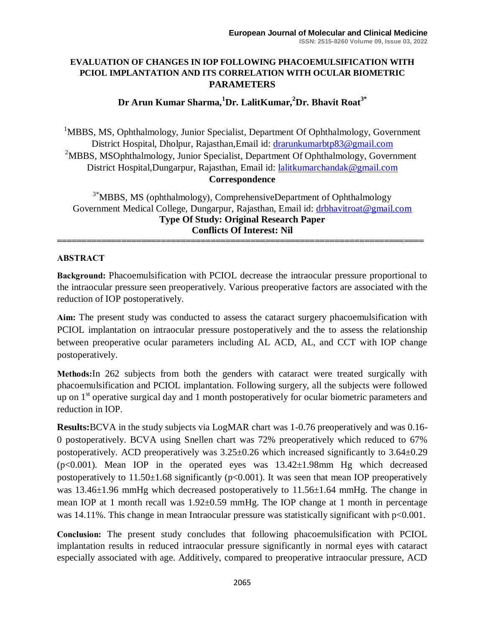#### **EVALUATION OF CHANGES IN IOP FOLLOWING PHACOEMULSIFICATION WITH PCIOL IMPLANTATION AND ITS CORRELATION WITH OCULAR BIOMETRIC PARAMETERS**

# **Dr Arun Kumar Sharma,<sup>1</sup>Dr. LalitKumar,<sup>2</sup>Dr. Bhavit Roat3\***

<sup>1</sup>MBBS, MS, Ophthalmology, Junior Specialist, Department Of Ophthalmology, Government District Hospital, Dholpur, Rajasthan,Email id: [drarunkumarbtp83@gmail.com](about:blank) <sup>2</sup>MBBS, MSOphthalmology, Junior Specialist, Department Of Ophthalmology, Government District Hospital,Dungarpur, Rajasthan, Email id: [lalitkumarchandak@gmail.com](about:blank)

**Correspondence**

<sup>3\*</sup>MBBS, MS (ophthalmology), ComprehensiveDepartment of Ophthalmology Government Medical College, Dungarpur, Rajasthan, Email id: [drbhavitroat@gmail.com](about:blank) **Type Of Study: Original Research Paper Conflicts Of Interest: Nil**

**==========================================================================**

#### **ABSTRACT**

**Background:** Phacoemulsification with PCIOL decrease the intraocular pressure proportional to the intraocular pressure seen preoperatively. Various preoperative factors are associated with the reduction of IOP postoperatively.

**Aim:** The present study was conducted to assess the cataract surgery phacoemulsification with PCIOL implantation on intraocular pressure postoperatively and the to assess the relationship between preoperative ocular parameters including AL ACD, AL, and CCT with IOP change postoperatively.

**Methods:**In 262 subjects from both the genders with cataract were treated surgically with phacoemulsification and PCIOL implantation. Following surgery, all the subjects were followed up on  $1<sup>st</sup>$  operative surgical day and 1 month postoperatively for ocular biometric parameters and reduction in IOP.

**Results:**BCVA in the study subjects via LogMAR chart was 1-0.76 preoperatively and was 0.16- 0 postoperatively. BCVA using Snellen chart was 72% preoperatively which reduced to 67% postoperatively. ACD preoperatively was  $3.25\pm0.26$  which increased significantly to  $3.64\pm0.29$ ( $p<0.001$ ). Mean IOP in the operated eyes was  $13.42\pm1.98$ mm Hg which decreased postoperatively to  $11.50\pm1.68$  significantly (p<0.001). It was seen that mean IOP preoperatively was 13.46 $\pm$ 1.96 mmHg which decreased postoperatively to 11.56 $\pm$ 1.64 mmHg. The change in mean IOP at 1 month recall was 1.92±0.59 mmHg. The IOP change at 1 month in percentage was 14.11%. This change in mean Intraocular pressure was statistically significant with  $p<0.001$ .

**Conclusion:** The present study concludes that following phacoemulsification with PCIOL implantation results in reduced intraocular pressure significantly in normal eyes with cataract especially associated with age. Additively, compared to preoperative intraocular pressure, ACD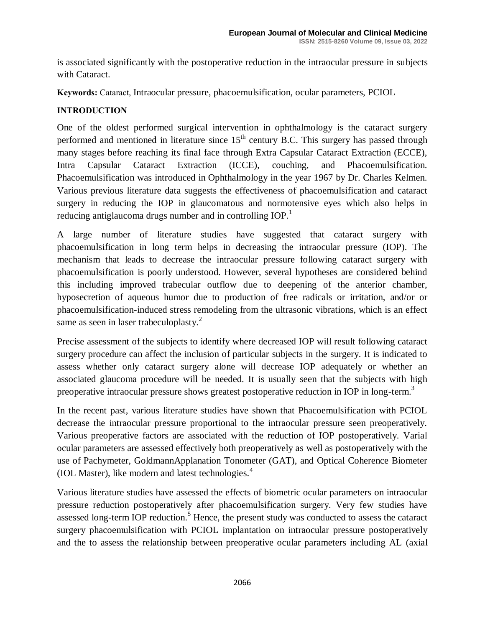is associated significantly with the postoperative reduction in the intraocular pressure in subjects with Cataract.

**Keywords:** Cataract, Intraocular pressure, phacoemulsification, ocular parameters, PCIOL

# **INTRODUCTION**

One of the oldest performed surgical intervention in ophthalmology is the cataract surgery performed and mentioned in literature since  $15<sup>th</sup>$  century B.C. This surgery has passed through many stages before reaching its final face through Extra Capsular Cataract Extraction (ECCE), Intra Capsular Cataract Extraction (ICCE), couching, and Phacoemulsification. Phacoemulsification was introduced in Ophthalmology in the year 1967 by Dr. Charles Kelmen. Various previous literature data suggests the effectiveness of phacoemulsification and cataract surgery in reducing the IOP in glaucomatous and normotensive eyes which also helps in reducing antiglaucoma drugs number and in controlling IOP.<sup>1</sup>

A large number of literature studies have suggested that cataract surgery with phacoemulsification in long term helps in decreasing the intraocular pressure (IOP). The mechanism that leads to decrease the intraocular pressure following cataract surgery with phacoemulsification is poorly understood. However, several hypotheses are considered behind this including improved trabecular outflow due to deepening of the anterior chamber, hyposecretion of aqueous humor due to production of free radicals or irritation, and/or or phacoemulsification-induced stress remodeling from the ultrasonic vibrations, which is an effect same as seen in laser trabeculoplasty.<sup>2</sup>

Precise assessment of the subjects to identify where decreased IOP will result following cataract surgery procedure can affect the inclusion of particular subjects in the surgery. It is indicated to assess whether only cataract surgery alone will decrease IOP adequately or whether an associated glaucoma procedure will be needed. It is usually seen that the subjects with high preoperative intraocular pressure shows greatest postoperative reduction in IOP in long-term.<sup>3</sup>

In the recent past, various literature studies have shown that Phacoemulsification with PCIOL decrease the intraocular pressure proportional to the intraocular pressure seen preoperatively. Various preoperative factors are associated with the reduction of IOP postoperatively. Varial ocular parameters are assessed effectively both preoperatively as well as postoperatively with the use of Pachymeter, GoldmannApplanation Tonometer (GAT), and Optical Coherence Biometer (IOL Master), like modern and latest technologies.<sup>4</sup>

Various literature studies have assessed the effects of biometric ocular parameters on intraocular pressure reduction postoperatively after phacoemulsification surgery. Very few studies have assessed long-term IOP reduction.<sup>5</sup> Hence, the present study was conducted to assess the cataract surgery phacoemulsification with PCIOL implantation on intraocular pressure postoperatively and the to assess the relationship between preoperative ocular parameters including AL (axial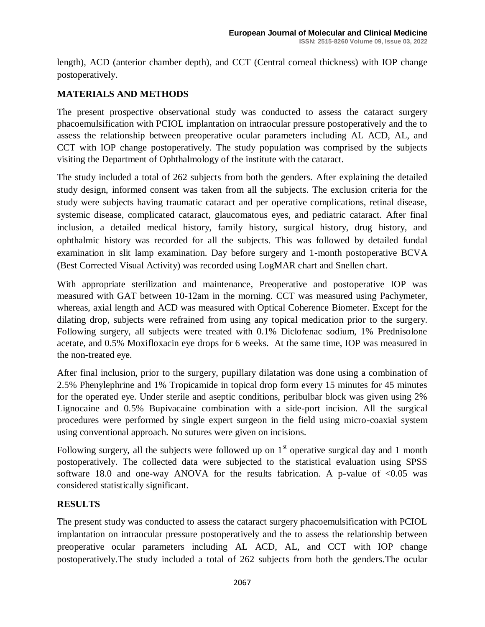length), ACD (anterior chamber depth), and CCT (Central corneal thickness) with IOP change postoperatively.

# **MATERIALS AND METHODS**

The present prospective observational study was conducted to assess the cataract surgery phacoemulsification with PCIOL implantation on intraocular pressure postoperatively and the to assess the relationship between preoperative ocular parameters including AL ACD, AL, and CCT with IOP change postoperatively. The study population was comprised by the subjects visiting the Department of Ophthalmology of the institute with the cataract.

The study included a total of 262 subjects from both the genders. After explaining the detailed study design, informed consent was taken from all the subjects. The exclusion criteria for the study were subjects having traumatic cataract and per operative complications, retinal disease, systemic disease, complicated cataract, glaucomatous eyes, and pediatric cataract. After final inclusion, a detailed medical history, family history, surgical history, drug history, and ophthalmic history was recorded for all the subjects. This was followed by detailed fundal examination in slit lamp examination. Day before surgery and 1-month postoperative BCVA (Best Corrected Visual Activity) was recorded using LogMAR chart and Snellen chart.

With appropriate sterilization and maintenance, Preoperative and postoperative IOP was measured with GAT between 10-12am in the morning. CCT was measured using Pachymeter, whereas, axial length and ACD was measured with Optical Coherence Biometer. Except for the dilating drop, subjects were refrained from using any topical medication prior to the surgery. Following surgery, all subjects were treated with 0.1% Diclofenac sodium, 1% Prednisolone acetate, and 0.5% Moxifloxacin eye drops for 6 weeks. At the same time, IOP was measured in the non-treated eye.

After final inclusion, prior to the surgery, pupillary dilatation was done using a combination of 2.5% Phenylephrine and 1% Tropicamide in topical drop form every 15 minutes for 45 minutes for the operated eye. Under sterile and aseptic conditions, peribulbar block was given using 2% Lignocaine and 0.5% Bupivacaine combination with a side-port incision. All the surgical procedures were performed by single expert surgeon in the field using micro-coaxial system using conventional approach. No sutures were given on incisions.

Following surgery, all the subjects were followed up on  $1<sup>st</sup>$  operative surgical day and 1 month postoperatively. The collected data were subjected to the statistical evaluation using SPSS software 18.0 and one-way ANOVA for the results fabrication. A p-value of  $\leq 0.05$  was considered statistically significant.

### **RESULTS**

The present study was conducted to assess the cataract surgery phacoemulsification with PCIOL implantation on intraocular pressure postoperatively and the to assess the relationship between preoperative ocular parameters including AL ACD, AL, and CCT with IOP change postoperatively.The study included a total of 262 subjects from both the genders.The ocular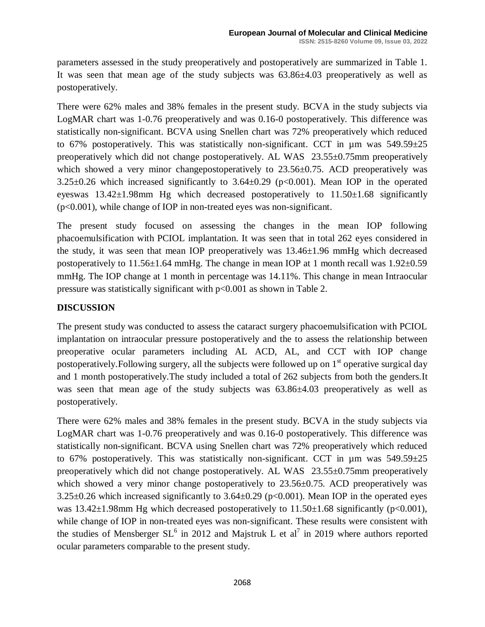parameters assessed in the study preoperatively and postoperatively are summarized in Table 1. It was seen that mean age of the study subjects was 63.86±4.03 preoperatively as well as postoperatively.

There were 62% males and 38% females in the present study. BCVA in the study subjects via LogMAR chart was 1-0.76 preoperatively and was 0.16-0 postoperatively. This difference was statistically non-significant. BCVA using Snellen chart was 72% preoperatively which reduced to 67% postoperatively. This was statistically non-significant. CCT in  $\mu$ m was 549.59 $\pm$ 25 preoperatively which did not change postoperatively. AL WAS 23.55±0.75mm preoperatively which showed a very minor changepostoperatively to 23.56±0.75. ACD preoperatively was  $3.25\pm0.26$  which increased significantly to  $3.64\pm0.29$  (p<0.001). Mean IOP in the operated eyeswas  $13.42\pm1.98$ mm Hg which decreased postoperatively to  $11.50\pm1.68$  significantly (p<0.001), while change of IOP in non-treated eyes was non-significant.

The present study focused on assessing the changes in the mean IOP following phacoemulsification with PCIOL implantation. It was seen that in total 262 eyes considered in the study, it was seen that mean IOP preoperatively was 13.46±1.96 mmHg which decreased postoperatively to 11.56±1.64 mmHg. The change in mean IOP at 1 month recall was 1.92±0.59 mmHg. The IOP change at 1 month in percentage was 14.11%. This change in mean Intraocular pressure was statistically significant with p<0.001 as shown in Table 2.

# **DISCUSSION**

The present study was conducted to assess the cataract surgery phacoemulsification with PCIOL implantation on intraocular pressure postoperatively and the to assess the relationship between preoperative ocular parameters including AL ACD, AL, and CCT with IOP change postoperatively. Following surgery, all the subjects were followed up on  $1<sup>st</sup>$  operative surgical day and 1 month postoperatively.The study included a total of 262 subjects from both the genders.It was seen that mean age of the study subjects was  $63.86\pm4.03$  preoperatively as well as postoperatively.

There were 62% males and 38% females in the present study. BCVA in the study subjects via LogMAR chart was 1-0.76 preoperatively and was 0.16-0 postoperatively. This difference was statistically non-significant. BCVA using Snellen chart was 72% preoperatively which reduced to 67% postoperatively. This was statistically non-significant. CCT in  $\mu$ m was 549.59 $\pm$ 25 preoperatively which did not change postoperatively. AL WAS 23.55±0.75mm preoperatively which showed a very minor change postoperatively to  $23.56\pm0.75$ . ACD preoperatively was 3.25 $\pm$ 0.26 which increased significantly to 3.64 $\pm$ 0.29 (p<0.001). Mean IOP in the operated eyes was  $13.42\pm1.98$ mm Hg which decreased postoperatively to  $11.50\pm1.68$  significantly (p<0.001), while change of IOP in non-treated eyes was non-significant. These results were consistent with the studies of Mensberger  $SL<sup>6</sup>$  in 2012 and Majstruk L et al<sup>7</sup> in 2019 where authors reported ocular parameters comparable to the present study.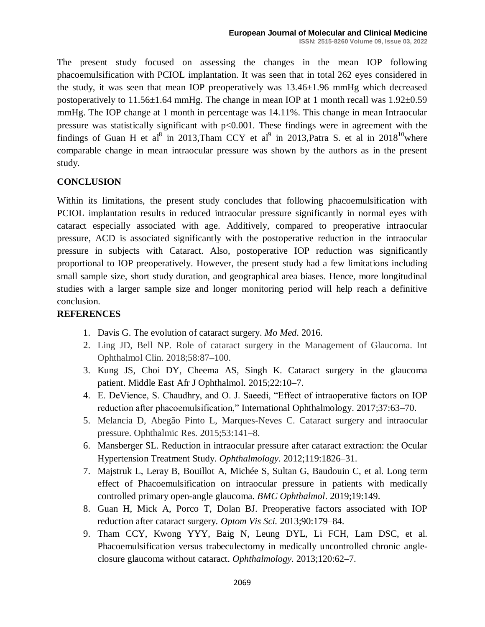The present study focused on assessing the changes in the mean IOP following phacoemulsification with PCIOL implantation. It was seen that in total 262 eyes considered in the study, it was seen that mean IOP preoperatively was 13.46±1.96 mmHg which decreased postoperatively to  $11.56\pm1.64$  mmHg. The change in mean IOP at 1 month recall was  $1.92\pm0.59$ mmHg. The IOP change at 1 month in percentage was 14.11%. This change in mean Intraocular pressure was statistically significant with  $p<0.001$ . These findings were in agreement with the findings of Guan H et al<sup>8</sup> in 2013, Tham CCY et al<sup>9</sup> in 2013, Patra S. et al in 2018<sup>10</sup> where comparable change in mean intraocular pressure was shown by the authors as in the present study.

### **CONCLUSION**

Within its limitations, the present study concludes that following phacoemulsification with PCIOL implantation results in reduced intraocular pressure significantly in normal eyes with cataract especially associated with age. Additively, compared to preoperative intraocular pressure, ACD is associated significantly with the postoperative reduction in the intraocular pressure in subjects with Cataract. Also, postoperative IOP reduction was significantly proportional to IOP preoperatively. However, the present study had a few limitations including small sample size, short study duration, and geographical area biases. Hence, more longitudinal studies with a larger sample size and longer monitoring period will help reach a definitive conclusion.

# **REFERENCES**

- 1. Davis G. The evolution of cataract surgery. *Mo Med*. 2016.
- 2. Ling JD, Bell NP. Role of cataract surgery in the Management of Glaucoma. Int Ophthalmol Clin. 2018;58:87–100.
- 3. Kung JS, Choi DY, Cheema AS, Singh K. Cataract surgery in the glaucoma patient. Middle East Afr J Ophthalmol. 2015;22:10–7.
- 4. E. DeVience, S. Chaudhry, and O. J. Saeedi, "Effect of intraoperative factors on IOP reduction after phacoemulsification," International Ophthalmology. 2017;37:63–70.
- 5. Melancia D, Abegão Pinto L, Marques-Neves C. Cataract surgery and intraocular pressure. Ophthalmic Res. 2015;53:141–8.
- 6. Mansberger SL. Reduction in intraocular pressure after cataract extraction: the Ocular Hypertension Treatment Study. *Ophthalmology*. 2012;119:1826–31.
- 7. Majstruk L, Leray B, Bouillot A, Michée S, Sultan G, Baudouin C, et al. Long term effect of Phacoemulsification on intraocular pressure in patients with medically controlled primary open-angle glaucoma. *BMC Ophthalmol*. 2019;19:149.
- 8. Guan H, Mick A, Porco T, Dolan BJ. Preoperative factors associated with IOP reduction after cataract surgery. *Optom Vis Sci.* 2013;90:179–84.
- 9. Tham CCY, Kwong YYY, Baig N, Leung DYL, Li FCH, Lam DSC, et al. Phacoemulsification versus trabeculectomy in medically uncontrolled chronic angleclosure glaucoma without cataract. *Ophthalmology*. 2013;120:62–7.